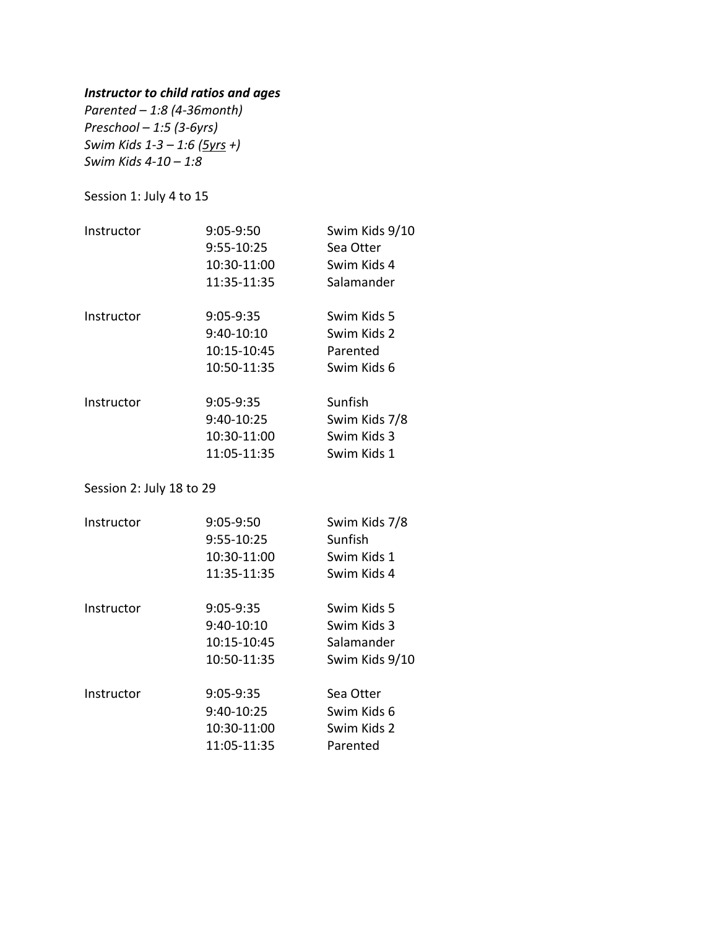## *Instructor to child ratios and ages*

*Parented – 1:8 (4-36month) Preschool – 1:5 (3-6yrs) Swim Kids 1-3 – 1:6 (5yrs +) Swim Kids 4-10 – 1:8*

Session 1: July 4 to 15

| Sea Otter<br>Swim Kids 4<br>Salamander |
|----------------------------------------|
|                                        |
|                                        |
|                                        |
| Swim Kids 5                            |
| Swim Kids 2                            |
| Parented                               |
| Swim Kids 6                            |
| Sunfish                                |
| Swim Kids 7/8                          |
| Swim Kids 3                            |
| Swim Kids 1                            |
|                                        |

Session 2: July 18 to 29

| Instructor | 9:05-9:50   | Swim Kids 7/8  |
|------------|-------------|----------------|
|            | 9:55-10:25  | Sunfish        |
|            | 10:30-11:00 | Swim Kids 1    |
|            | 11:35-11:35 | Swim Kids 4    |
| Instructor | $9:05-9:35$ | Swim Kids 5    |
|            | 9:40-10:10  | Swim Kids 3    |
|            | 10:15-10:45 | Salamander     |
|            | 10:50-11:35 | Swim Kids 9/10 |
| Instructor | $9:05-9:35$ | Sea Otter      |
|            | 9:40-10:25  | Swim Kids 6    |
|            | 10:30-11:00 | Swim Kids 2    |
|            | 11:05-11:35 | Parented       |
|            |             |                |